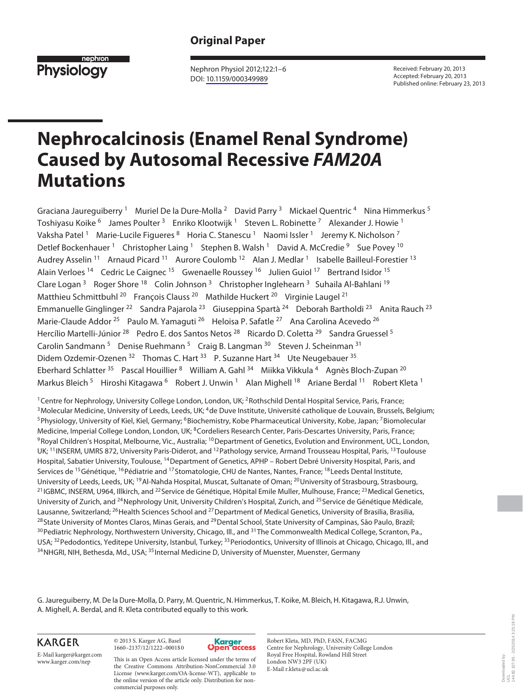## **Original Paper**



 Nephron Physiol 2012;122:1–6 DOI: [10.1159/000349989](http://dx.doi.org/10.1159%2F000349989)

 Received: February 20, 2013 Accepted: February 20, 2013 Published online: February 23, 2013

# **Nephrocalcinosis (Enamel Renal Syndrome) Caused by Autosomal Recessive** *FAM20A* **Mutations**

Graciana Jaureguiberry<sup>1</sup> Muriel De la Dure-Molla<sup>2</sup> David Parry<sup>3</sup> Mickael Quentric<sup>4</sup> Nina Himmerkus<sup>5</sup> Toshiyasu Koike <sup>6</sup> James Poulter <sup>3</sup> Enriko Klootwijk <sup>1</sup> Steven L. Robinette <sup>7</sup> Alexander J. Howie <sup>1</sup> Vaksha Patel<sup>1</sup> Marie-Lucile Figueres <sup>8</sup> Horia C. Stanescu <sup>1</sup> Naomi Issler <sup>1</sup> Jeremy K. Nicholson <sup>7</sup> Detlef Bockenhauer<sup>1</sup> Christopher Laing<sup>1</sup> Stephen B. Walsh<sup>1</sup> David A. McCredie<sup>9</sup> Sue Povey<sup>10</sup> Audrey Asselin<sup>11</sup> Arnaud Picard<sup>11</sup> Aurore Coulomb<sup>12</sup> Alan J. Medlar<sup>1</sup> Isabelle Bailleul-Forestier<sup>13</sup> Alain Verloes<sup>14</sup> Cedric Le Caignec<sup>15</sup> Gwenaelle Roussey<sup>16</sup> Julien Guiol<sup>17</sup> Bertrand Isidor<sup>15</sup> Clare Logan <sup>3</sup> Roger Shore <sup>18</sup> Colin Johnson<sup>3</sup> Christopher Inglehearn <sup>3</sup> Suhaila Al-Bahlani <sup>19</sup> Matthieu Schmittbuhl <sup>20</sup> François Clauss <sup>20</sup> Mathilde Huckert <sup>20</sup> Virginie Laugel <sup>21</sup> Emmanuelle Ginglinger <sup>22</sup> Sandra Pajarola <sup>23</sup> Giuseppina Spartà <sup>24</sup> Deborah Bartholdi <sup>23</sup> Anita Rauch <sup>23</sup> Marie-Claude Addor <sup>25</sup> Paulo M. Yamaguti <sup>26</sup> Heloisa P. Safatle <sup>27</sup> Ana Carolina Acevedo <sup>26</sup> Hercílio Martelli-Júnior <sup>28</sup> Pedro E. dos Santos Netos <sup>28</sup> Ricardo D. Coletta <sup>29</sup> Sandra Gruessel <sup>5</sup> Carolin Sandmann<sup>5</sup> Denise Ruehmann<sup>5</sup> Craig B. Langman <sup>30</sup> Steven J. Scheinman <sup>31</sup> Didem Ozdemir-Ozenen <sup>32</sup> Thomas C. Hart <sup>33</sup> P. Suzanne Hart <sup>34</sup> Ute Neugebauer <sup>35</sup> Eberhard Schlatter<sup>35</sup> Pascal Houillier <sup>8</sup> William A. Gahl<sup>34</sup> Miikka Vikkula <sup>4</sup> Agnès Bloch-Zupan <sup>20</sup> Markus Bleich <sup>5</sup> Hiroshi Kitagawa <sup>6</sup> Robert J. Unwin <sup>1</sup> Alan Mighell <sup>18</sup> Ariane Berdal <sup>11</sup> Robert Kleta <sup>1</sup>

<sup>1</sup> Centre for Nephrology, University College London, London, UK; <sup>2</sup> Rothschild Dental Hospital Service, Paris, France;<br><sup>3</sup> Molecular Medicine, University of Leeds, Leeds, UK; <sup>4</sup> de Duve Institute, Université catholique Medicine, Imperial College London, London, UK; <sup>8</sup>Cordeliers Research Center, Paris-Descartes University, Paris, France;<br><sup>9</sup>Royal Children's Hospital, Melbourne, Vic., Australia; <sup>10</sup>Department of Genetics, Evolution and E UK; <sup>11</sup> INSERM, UMRS 872, University Paris-Diderot, and <sup>12</sup> Pathology service, Armand Trousseau Hospital, Paris, <sup>13</sup> Toulouse Hospital, Sabatier University, Toulouse, <sup>14</sup> Department of Genetics, APHP – Robert Debré University Hospital, Paris, and Services de <sup>15</sup> Génétique, <sup>16</sup> Pédiatrie and <sup>17</sup> Stomatologie, CHU de Nantes, Nantes, France; <sup>18</sup> Leeds Dental Institute, University of Leeds, Leeds, UK; <sup>19</sup>Al-Nahda Hospital, Muscat, Sultanate of Oman; <sup>20</sup>University of Strasbourg, Strasbourg,<br><sup>21</sup> IGBMC, INSERM, U964, Illkirch, and <sup>22</sup> Service de Génétique, Hôpital Emile Muller, Mulhouse, University of Zurich, and <sup>24</sup> Nephrology Unit, University Children's Hospital, Zurich, and <sup>25</sup> Service de Génétique Médicale, Lausanne, Switzerland; <sup>26</sup> Health Sciences School and <sup>27</sup> Department of Medical Genetics, University of Brasilia, Brasilia,<br><sup>28</sup> State University of Montes Claros, Minas Gerais, and <sup>29</sup> Dental School, State University o USA; <sup>32</sup> Pedodontics, Yeditepe University, Istanbul, Turkey; <sup>33</sup> Periodontics, University of Illinois at Chicago, Chicago, Ill., and<br><sup>34</sup> NHGRI, NIH, Bethesda, Md., USA; <sup>35</sup> Internal Medicine D, University of Muenster,

 G. Jaureguiberry, M. De la Dure-Molla, D. Parry, M. Quentric, N. Himmerkus, T. Koike, M. Bleich, H. Kitagawa, R.J. Unwin, A. Mighell, A. Berdal, and R. Kleta contributed equally to this work.

**KARGER** 

E-Mail karger@karger.com www.karger.com/nep

 © 2013 S. Karger AG, Basel 1660–2137/12/1222–0001\$0

commercial purposes only.

License (www.karger.com/OA-license-WT), applicable to the online version of the article only. Distribution for non-



 Robert Kleta, MD, PhD, FASN, FACMG Centre for Nephrology, University College London Royal Free Hospital, Rowland Hill Street London NW3 2PF (UK) E-Mail r.kleta @ ucl.ac.uk This is an Open Access article licensed under the terms of the Creative Commons Attribution-NonCommercial 3.0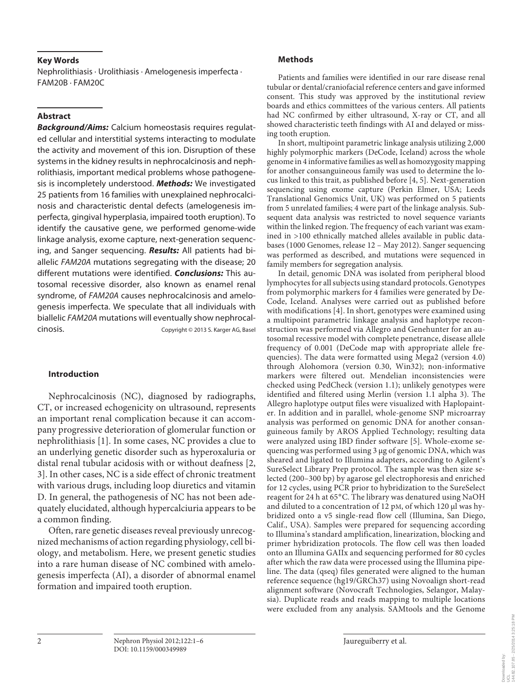#### **Key Words**

 Nephrolithiasis · Urolithiasis · Amelogenesis imperfecta · FAM20B · FAM20C

### **Abstract**

*Background/Aims:* Calcium homeostasis requires regulated cellular and interstitial systems interacting to modulate the activity and movement of this ion. Disruption of these systems in the kidney results in nephrocalcinosis and nephrolithiasis, important medical problems whose pathogenesis is incompletely understood. *Methods:* We investigated 25 patients from 16 families with unexplained nephrocalcinosis and characteristic dental defects (amelogenesis imperfecta, gingival hyperplasia, impaired tooth eruption). To identify the causative gene, we performed genome-wide linkage analysis, exome capture, next-generation sequencing, and Sanger sequencing. *Results:* All patients had biallelic FAM20A mutations segregating with the disease; 20 different mutations were identified. *Conclusions:* This autosomal recessive disorder, also known as enamel renal syndrome, of FAM20A causes nephrocalcinosis and amelogenesis imperfecta. We speculate that all individuals with biallelic FAM20A mutations will eventually show nephrocalcinosis. Copyright © 2013 S. Karger AG, Basel

#### **Introduction**

 Nephrocalcinosis (NC), diagnosed by radiographs, CT, or increased echogenicity on ultrasound, represents an important renal complication because it can accompany progressive deterioration of glomerular function or nephrolithiasis [1]. In some cases, NC provides a clue to an underlying genetic disorder such as hyperoxaluria or distal renal tubular acidosis with or without deafness [2, 3]. In other cases, NC is a side effect of chronic treatment with various drugs, including loop diuretics and vitamin D. In general, the pathogenesis of NC has not been adequately elucidated, although hypercalciuria appears to be a common finding.

 Often, rare genetic diseases reveal previously unrecognized mechanisms of action regarding physiology, cell biology, and metabolism. Here, we present genetic studies into a rare human disease of NC combined with amelogenesis imperfecta (AI), a disorder of abnormal enamel formation and impaired tooth eruption.

#### **Methods**

 Patients and families were identified in our rare disease renal tubular or dental/craniofacial reference centers and gave informed consent. This study was approved by the institutional review boards and ethics committees of the various centers. All patients had NC confirmed by either ultrasound, X-ray or CT, and all showed characteristic teeth findings with AI and delayed or missing tooth eruption.

 In short, multipoint parametric linkage analysis utilizing 2,000 highly polymorphic markers (DeCode, Iceland) across the whole genome in 4 informative families as well as homozygosity mapping for another consanguineous family was used to determine the locus linked to this trait, as published before [4, 5] . Next-generation sequencing using exome capture (Perkin Elmer, USA; Leeds Translational Genomics Unit, UK) was performed on 5 patients from 5 unrelated families; 4 were part of the linkage analysis. Subsequent data analysis was restricted to novel sequence variants within the linked region. The frequency of each variant was examined in >100 ethnically matched alleles available in public databases (1000 Genomes, release 12 – May 2012). Sanger sequencing was performed as described, and mutations were sequenced in family members for segregation analysis.

 In detail, genomic DNA was isolated from peripheral blood lymphocytes for all subjects using standard protocols. Genotypes from polymorphic markers for 4 families were generated by De-Code, Iceland. Analyses were carried out as published before with modifications [4]. In short, genotypes were examined using a multipoint parametric linkage analysis and haplotype reconstruction was performed via Allegro and Genehunter for an autosomal recessive model with complete penetrance, disease allele frequency of 0.001 (DeCode map with appropriate allele frequencies). The data were formatted using Mega2 (version 4.0) through Alohomora (version 0.30, Win32); non-informative markers were filtered out. Mendelian inconsistencies were checked using PedCheck (version 1.1); unlikely genotypes were identified and filtered using Merlin (version 1.1 alpha 3). The Allegro haplotype output files were visualized with Haplopainter. In addition and in parallel, whole-genome SNP microarray analysis was performed on genomic DNA for another consanguineous family by AROS Applied Technology; resulting data were analyzed using IBD finder software [5]. Whole-exome sequencing was performed using 3 μg of genomic DNA, which was sheared and ligated to Illumina adapters, according to Agilent's SureSelect Library Prep protocol. The sample was then size selected (200–300 bp) by agarose gel electrophoresis and enriched for 12 cycles, using PCR prior to hybridization to the SureSelect reagent for 24 h at 65°C. The library was denatured using NaOH and diluted to a concentration of 12 pM, of which 120 μl was hybridized onto a v5 single-read flow cell (Illumina, San Diego, Calif., USA). Samples were prepared for sequencing according to Illumina's standard amplification, linearization, blocking and primer hybridization protocols. The flow cell was then loaded onto an Illumina GAIIx and sequencing performed for 80 cycles after which the raw data were processed using the Illumina pipeline. The data (qseq) files generated were aligned to the human reference sequence (hg19/GRCh37) using Novoalign short-read alignment software (Novocraft Technologies, Selangor, Malaysia). Duplicate reads and reads mapping to multiple locations were excluded from any analysis. SAMtools and the Genome

Downloaded by: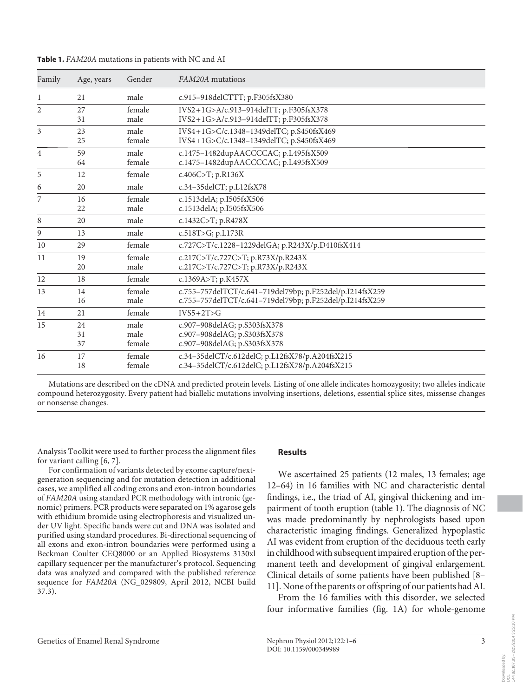| Family         | Age, years     | Gender                 | FAM20A mutations                                                                                                     |
|----------------|----------------|------------------------|----------------------------------------------------------------------------------------------------------------------|
| 1              | 21             | male                   | c.915-918delCTTT; p.F305fsX380                                                                                       |
| $\overline{2}$ | 27<br>31       | female<br>male         | IVS2+1G>A/c.913-914delTT; p.F305fsX378<br>IVS2+1G>A/c.913-914delTT; p.F305fsX378                                     |
| 3              | 23<br>25       | male<br>female         | IVS4+1G>C/c.1348-1349delTC; p.S450fsX469<br>IVS4+1G>C/c.1348-1349delTC; p.S450fsX469                                 |
| $\overline{4}$ | 59<br>64       | male<br>female         | c.1475-1482dupAACCCCAC; p.L495fsX509<br>c.1475-1482dupAACCCCAC; p.L495fsX509                                         |
| 5              | 12             | female                 | c.406C>T; p.R136X                                                                                                    |
| 6              | 20             | male                   | c.34-35delCT; p.L12fsX78                                                                                             |
| 7              | 16<br>22       | female<br>male         | c.1513delA; p.I505fsX506<br>c.1513delA; p.I505fsX506                                                                 |
| 8              | 20             | male                   | c.1432C>T; p.R478X                                                                                                   |
| 9              | 13             | male                   | c.518T>G; p.L173R                                                                                                    |
| 10             | 29             | female                 | c.727C>T/c.1228-1229delGA; p.R243X/p.D410fsX414                                                                      |
| 11             | 19<br>20       | female<br>male         | c.217C>T/c.727C>T; p.R73X/p.R243X<br>c.217C>T/c.727C>T; p.R73X/p.R243X                                               |
| 12             | 18             | female                 | c.1369A>T; p.K457X                                                                                                   |
| 13             | 14<br>16       | female<br>male         | c.755-757delTCT/c.641-719del79bp; p.F252del/p.I214fsX259<br>c.755-757delTCT/c.641-719del79bp; p.F252del/p.I214fsX259 |
| 14             | 21             | female                 | $IVS5+2T>G$                                                                                                          |
| 15             | 24<br>31<br>37 | male<br>male<br>female | c.907-908delAG; p.S303fsX378<br>c.907-908delAG; p.S303fsX378<br>c.907-908delAG; p.S303fsX378                         |
| 16             | 17<br>18       | female<br>female       | c.34-35delCT/c.612delC; p.L12fsX78/p.A204fsX215<br>c.34-35delCT/c.612delC; p.L12fsX78/p.A204fsX215                   |

**Table 1.** *FAM20A* mutations in patients with NC and AI

 Mutations are described on the cDNA and predicted protein levels. Listing of one allele indicates homozygosity; two alleles indicate compound heterozygosity. Every patient had biallelic mutations involving insertions, deletions, essential splice sites, missense changes or nonsense changes.

Analysis Toolkit were used to further process the alignment files for variant calling [6, 7].

 For confirmation of variants detected by exome capture/nextgeneration sequencing and for mutation detection in additional cases, we amplified all coding exons and exon-intron boundaries of *FAM20A* using standard PCR methodology with intronic (genomic) primers. PCR products were separated on 1% agarose gels with ethidium bromide using electrophoresis and visualized under UV light. Specific bands were cut and DNA was isolated and purified using standard procedures. Bi-directional sequencing of all exons and exon-intron boundaries were performed using a Beckman Coulter CEQ8000 or an Applied Biosystems 3130xl capillary sequencer per the manufacturer's protocol. Sequencing data was analyzed and compared with the published reference sequence for *FAM20A* (NG\_029809, April 2012, NCBI build 37.3).

#### **Results**

 We ascertained 25 patients (12 males, 13 females; age 12–64) in 16 families with NC and characteristic dental findings, i.e., the triad of AI, gingival thickening and impairment of tooth eruption (table 1). The diagnosis of NC was made predominantly by nephrologists based upon characteristic imaging findings. Generalized hypoplastic AI was evident from eruption of the deciduous teeth early in childhood with subsequent impaired eruption of the permanent teeth and development of gingival enlargement. Clinical details of some patients have been published [8– 11] . None of the parents or offspring of our patients had AI.

 From the 16 families with this disorder, we selected four informative families (fig. 1A) for whole-genome

Downloaded by: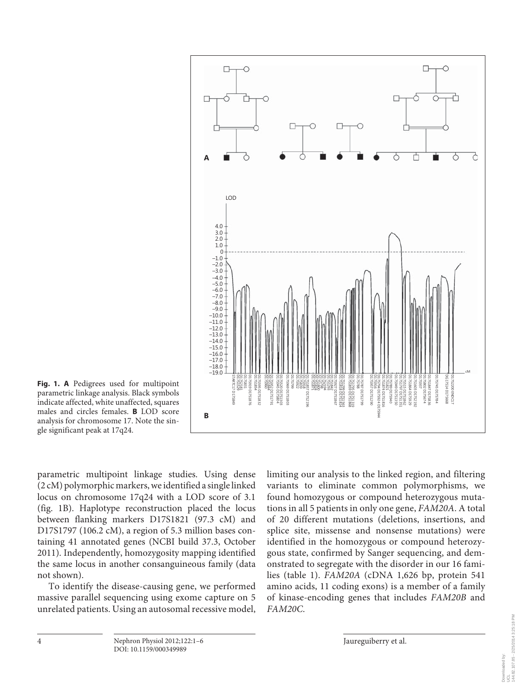

**Fig. 1. A** Pedigrees used for multipoint parametric linkage analysis. Black symbols indicate affected, white unaffected, squares males and circles females. **B** LOD score analysis for chromosome 17. Note the single significant peak at 17q24.

parametric multipoint linkage studies. Using dense (2 cM) polymorphic markers, we identified a single linked locus on chromosome 17q24 with a LOD score of 3.1 (fig. 1B). Haplotype reconstruction placed the locus between flanking markers D17S1821 (97.3 cM) and D17S1797 (106.2 cM), a region of 5.3 million bases containing 41 annotated genes (NCBI build 37.3, October 2011). Independently, homozygosity mapping identified the same locus in another consanguineous family (data not shown).

 To identify the disease-causing gene, we performed massive parallel sequencing using exome capture on 5 unrelated patients. Using an autosomal recessive model, limiting our analysis to the linked region, and filtering variants to eliminate common polymorphisms, we found homozygous or compound heterozygous mutations in all 5 patients in only one gene, *FAM20A* . A total of 20 different mutations (deletions, insertions, and splice site, missense and nonsense mutations) were identified in the homozygous or compound heterozygous state, confirmed by Sanger sequencing, and demonstrated to segregate with the disorder in our 16 families (table 1). *FAM20A* (cDNA 1,626 bp, protein 541 amino acids, 11 coding exons) is a member of a family of kinase-encoding genes that includes *FAM20B* and *FAM20C* .

Downloaded by:<br>UCL<br>144.82.107.85 - 2/25/2014 3:25:18 PM 144.82.107.85 - 2/25/2014 3:25:18 PM

Downloaded by: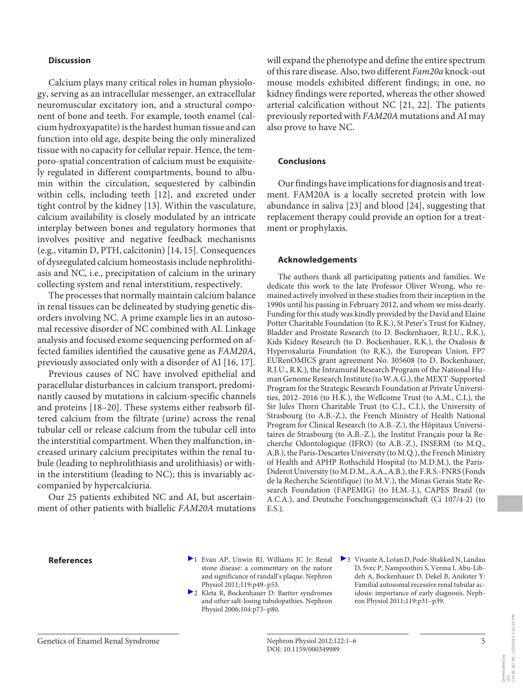#### **Discussion**

 Calcium plays many critical roles in human physiology, serving as an intracellular messenger, an extracellular neuromuscular excitatory ion, and a structural component of bone and teeth. For example, tooth enamel (calcium hydroxyapatite) is the hardest human tissue and can function into old age, despite being the only mineralized tissue with no capacity for cellular repair. Hence, the temporo-spatial concentration of calcium must be exquisitely regulated in different compartments, bound to albumin within the circulation, sequestered by calbindin within cells, including teeth [12], and excreted under tight control by the kidney [13] . Within the vasculature, calcium availability is closely modulated by an intricate interplay between bones and regulatory hormones that involves positive and negative feedback mechanisms (e.g., vitamin D, PTH, calcitonin) [14, 15] . Consequences of dysregulated calcium homeostasis include nephrolithiasis and NC, i.e., precipitation of calcium in the urinary collecting system and renal interstitium, respectively.

 The processes that normally maintain calcium balance in renal tissues can be delineated by studying genetic disorders involving NC. A prime example lies in an autosomal recessive disorder of NC combined with AI. Linkage analysis and focused exome sequencing performed on affected families identified the causative gene as *FAM20A* , previously associated only with a disorder of AI [16, 17] .

 Previous causes of NC have involved epithelial and paracellular disturbances in calcium transport, predominantly caused by mutations in calcium-specific channels and proteins [18–20]. These systems either reabsorb filtered calcium from the filtrate (urine) across the renal tubular cell or release calcium from the tubular cell into the interstitial compartment. When they malfunction, increased urinary calcium precipitates within the renal tubule (leading to nephrolithiasis and urolithiasis) or within the interstitium (leading to NC); this is invariably accompanied by hypercalciuria.

 Our 25 patients exhibited NC and AI, but ascertainment of other patients with biallelic *FAM20A* mutations will expand the phenotype and define the entire spectrum of this rare disease. Also, two different *Fam20a* knock-out mouse models exhibited different findings; in one, no kidney findings were reported, whereas the other showed arterial calcification without NC [21, 22]. The patients previously reported with *FAM20A* mutations and AI may also prove to have NC.

#### **Conclusions**

 Our findings have implications for diagnosis and treatment. FAM20A is a locally secreted protein with low abundance in saliva [23] and blood [24] , suggesting that replacement therapy could provide an option for a treatment or prophylaxis.

#### **Acknowledgements**

 The authors thank all participating patients and families. We dedicate this work to the late Professor Oliver Wrong, who remained actively involved in these studies from their inception in the 1990s until his passing in February 2012, and whom we miss dearly. Funding for this study was kindly provided by the David and Elaine Potter Charitable Foundation (to R.K.), St Peter's Trust for Kidney, Bladder and Prostate Research (to D. Bockenhauer, R.J.U., R.K.), Kids Kidney Research (to D. Bockenhauer, R.K.), the Oxalosis & Hyperoxaluria Foundation (to R.K.), the European Union, FP7 EURenOMICS grant agreement No. 305608 (to D. Bockenhauer, R.J.U., R.K.), the Intramural Research Program of the National Human Genome Research Institute (to W.A.G.), the MEXT-Supported Program for the Strategic Research Foundation at Private Universities, 2012–2016 (to H.K.), the Wellcome Trust (to A.M., C.I.), the Sir Jules Thorn Charitable Trust (to C.J., C.I.), the University of Strasbourg (to A.B.-Z.), the French Ministry of Health National Program for Clinical Research (to A.B.-Z.), the Hôpitaux Universitaires de Strasbourg (to A.B.-Z.), the Institut Français pour la Recherche Odontologique (IFRO) (to A.B.-Z.), INSERM (to M.Q., A.B.), the Paris-Descartes University (to M.Q.), the French Ministry of Health and APHP Rothschild Hospital (to M.D.M.), the Paris-Diderot University (to M.D.M., A.A., A.B.), the F.R.S.-FNRS (Fonds de la Recherche Scientifique) (to M.V.), the Minas Gerais State Research Foundation (FAPEMIG) (to H.M.-J.), CAPES Brazil (to A.C.A.), and Deutsche Forschungsgemeinschaft (Ci 107/4-2) (to E.S.).

- **References 1** Evan AP, Unwin RJ, Williams JC Jr: Renal stone disease: a commentary on the nature and significance of randall's plaque. Nephron Physiol 2011;119:p49–p53.
	- <sup>2</sup> Kleta R, Bockenhauer D: Bartter syndromes and other salt-losing tubulopathies. Nephron Physiol 2006;104:p73–p80.
- 3 Vivante A, Lotan D, Pode-Shakked N, Landau D, Svec P, Nampoothiri S, Verma I, Abu-Libdeh A, Bockenhauer D, Dekel B, Anikster Y: Familial autosomal recessive renal tubular acidosis: importance of early diagnosis. Nephron Physiol 2011;119:p31–p39.